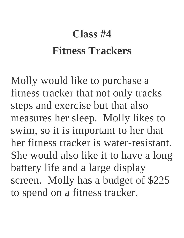# **Class #4 Fitness Trackers**

Molly would like to purchase a fitness tracker that not only tracks steps and exercise but that also measures her sleep. Molly likes to swim, so it is important to her that her fitness tracker is water-resistant. She would also like it to have a long battery life and a large display screen. Molly has a budget of \$225 to spend on a fitness tracker.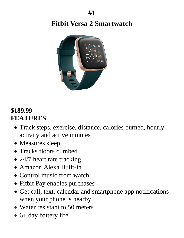#### **#1**

## **Fitbit Versa 2 Smartwatch**



#### **\$189.99 FEATURES**

- Track steps, exercise, distance, calories burned, hourly activity and active minutes
- Measures sleep
- Tracks floors climbed
- 24/7 heart rate tracking
- Amazon Alexa Built-in
- Control music from watch
- Fitbit Pay enables purchases
- Get call, text, calendar and smartphone app notifications when your phone is nearby.
- Water resistant to 50 meters
- 6+ day battery life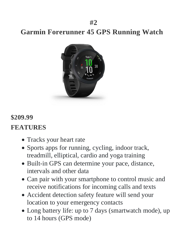#### **#2**

#### **Garmin Forerunner 45 GPS Running Watch**



#### **\$209.99**

#### **FEATURES**

- Tracks your heart rate
- Sports apps for running, cycling, indoor track, treadmill, elliptical, cardio and yoga training
- Built-in GPS can determine your pace, distance, intervals and other data
- Can pair with your smartphone to control music and receive notifications for incoming calls and texts
- Accident detection safety feature will send your location to your emergency contacts
- Long battery life: up to 7 days (smartwatch mode), up to 14 hours (GPS mode)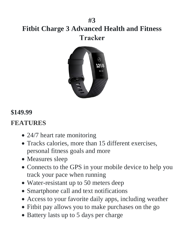## **#3 Fitbit Charge 3 Advanced Health and Fitness Tracker**



#### **\$149.99**

#### **FEATURES**

- 24/7 heart rate monitoring
- Tracks calories, more than 15 different exercises, personal fitness goals and more
- Measures sleep
- Connects to the GPS in your mobile device to help you track your pace when running
- Water-resistant up to 50 meters deep
- Smartphone call and text notifications
- Access to your favorite daily apps, including weather
- Fitbit pay allows you to make purchases on the go
- Battery lasts up to 5 days per charge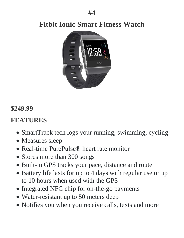**#4**

## **Fitbit Ionic Smart Fitness Watch**



#### **\$249.99**

#### **FEATURES**

- SmartTrack tech logs your running, swimming, cycling
- Measures sleep
- Real-time PurePulse<sup>®</sup> heart rate monitor
- Stores more than 300 songs
- Built-in GPS tracks your pace, distance and route
- Battery life lasts for up to 4 days with regular use or up to 10 hours when used with the GPS
- Integrated NFC chip for on-the-go payments
- Water-resistant up to 50 meters deep
- Notifies you when you receive calls, texts and more